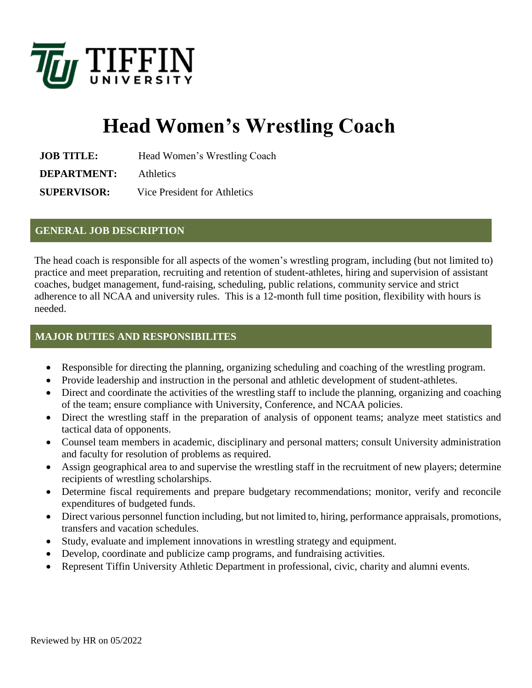

# **Head Women's Wrestling Coach**

**JOB TITLE:** Head Women's Wrestling Coach

**DEPARTMENT:** Athletics

**SUPERVISOR:** Vice President for Athletics

#### **GENERAL JOB DESCRIPTION**

The head coach is responsible for all aspects of the women's wrestling program, including (but not limited to) practice and meet preparation, recruiting and retention of student-athletes, hiring and supervision of assistant coaches, budget management, fund-raising, scheduling, public relations, community service and strict adherence to all NCAA and university rules. This is a 12-month full time position, flexibility with hours is needed.

## **MAJOR DUTIES AND RESPONSIBILITES**

- Responsible for directing the planning, organizing scheduling and coaching of the wrestling program.
- Provide leadership and instruction in the personal and athletic development of student-athletes.
- Direct and coordinate the activities of the wrestling staff to include the planning, organizing and coaching of the team; ensure compliance with University, Conference, and NCAA policies.
- Direct the wrestling staff in the preparation of analysis of opponent teams; analyze meet statistics and tactical data of opponents.
- Counsel team members in academic, disciplinary and personal matters; consult University administration and faculty for resolution of problems as required.
- Assign geographical area to and supervise the wrestling staff in the recruitment of new players; determine recipients of wrestling scholarships.
- Determine fiscal requirements and prepare budgetary recommendations; monitor, verify and reconcile expenditures of budgeted funds.
- Direct various personnel function including, but not limited to, hiring, performance appraisals, promotions, transfers and vacation schedules.
- Study, evaluate and implement innovations in wrestling strategy and equipment.
- Develop, coordinate and publicize camp programs, and fundraising activities.
- Represent Tiffin University Athletic Department in professional, civic, charity and alumni events.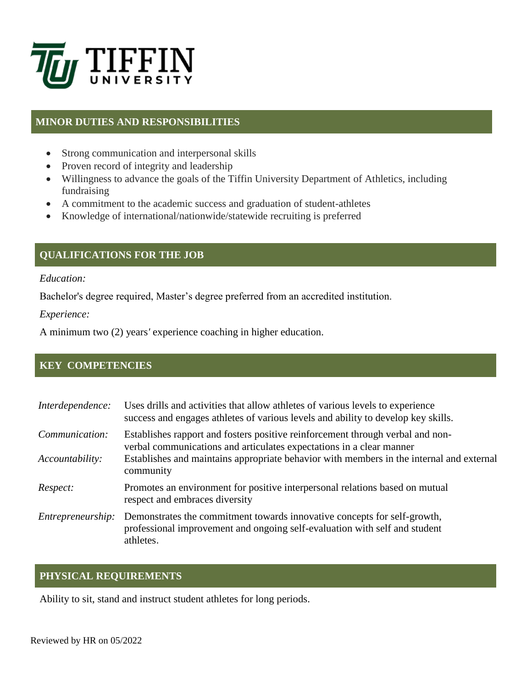

## **MINOR DUTIES AND RESPONSIBILITIES**

- Strong communication and interpersonal skills
- Proven record of integrity and leadership
- Willingness to advance the goals of the Tiffin University Department of Athletics, including fundraising
- A commitment to the academic success and graduation of student-athletes
- Knowledge of international/nationwide/statewide recruiting is preferred

## **QUALIFICATIONS FOR THE JOB**

*Education:*

Bachelor's degree required, Master's degree preferred from an accredited institution.

*Experience:*

A minimum two (2) years*'* experience coaching in higher education.

#### **KEY COMPETENCIES**

| Interdependence:                  | Uses drills and activities that allow athletes of various levels to experience<br>success and engages at heless of various levels and ability to develop key skills.                                                                                            |
|-----------------------------------|-----------------------------------------------------------------------------------------------------------------------------------------------------------------------------------------------------------------------------------------------------------------|
| Communication:<br>Accountability: | Establishes rapport and fosters positive reinforcement through verbal and non-<br>verbal communications and articulates expectations in a clear manner<br>Establishes and maintains appropriate behavior with members in the internal and external<br>community |
| Respect:                          | Promotes an environment for positive interpersonal relations based on mutual<br>respect and embraces diversity                                                                                                                                                  |
| <i>Entrepreneurship:</i>          | Demonstrates the commitment towards innovative concepts for self-growth,<br>professional improvement and ongoing self-evaluation with self and student<br>athletes.                                                                                             |

## **PHYSICAL REQUIREMENTS**

Ability to sit, stand and instruct student athletes for long periods.